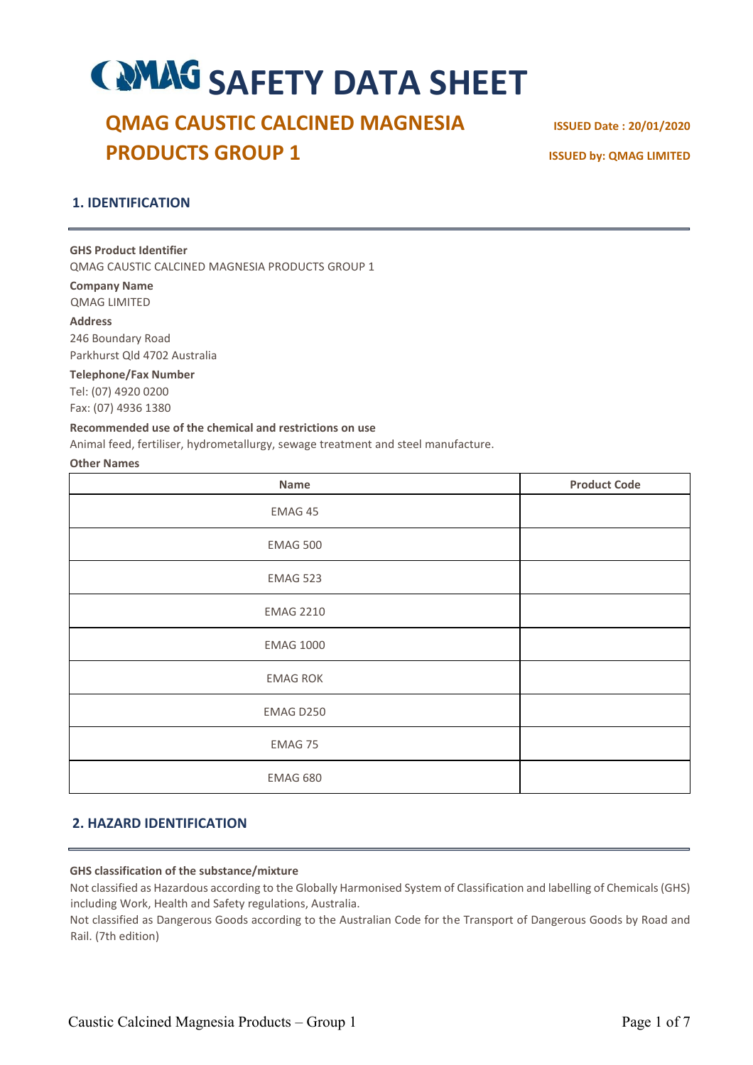# **COMAG SAFETY DATA SHEET**

## **QMAG CAUSTIC CALCINED MAGNESIA ISSUED Date : 20/01/2020 PRODUCTS GROUP 1 ISSUED by: QMAG LIMITED**

## **1. IDENTIFICATION**

#### **GHS Product Identifier**

QMAG CAUSTIC CALCINED MAGNESIA PRODUCTS GROUP 1

**Company Name**  QMAG LIMITED

**Address** 246 Boundary Road Parkhurst Qld 4702 Australia

**Telephone/Fax Number**  Tel: (07) 4920 0200 Fax: (07) 4936 1380

#### **Recommended use of the chemical and restrictions on use**

Animal feed, fertiliser, hydrometallurgy, sewage treatment and steel manufacture.

#### **Other Names**

| Name             | <b>Product Code</b> |
|------------------|---------------------|
| EMAG 45          |                     |
| <b>EMAG 500</b>  |                     |
| EMAG 523         |                     |
| <b>EMAG 2210</b> |                     |
| <b>EMAG 1000</b> |                     |
| <b>EMAG ROK</b>  |                     |
| EMAG D250        |                     |
| EMAG 75          |                     |
| <b>EMAG 680</b>  |                     |

## **2. HAZARD IDENTIFICATION**

#### **GHS classification of the substance/mixture**

Not classified as Hazardous according to the Globally Harmonised System of Classification and labelling of Chemicals (GHS) including Work, Health and Safety regulations, Australia.

Not classified as Dangerous Goods according to the Australian Code for the Transport of Dangerous Goods by Road and Rail. (7th edition)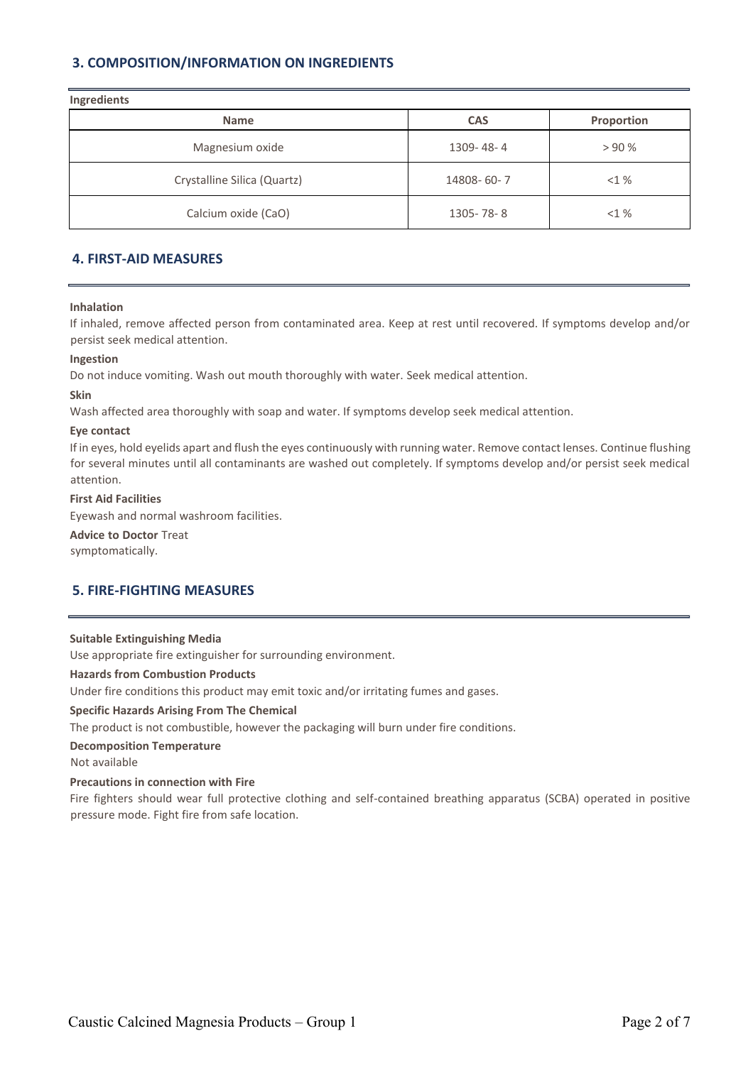## **3. COMPOSITION/INFORMATION ON INGREDIENTS**

| Ingredients<br><b>Name</b>  | <b>CAS</b> | Proportion |
|-----------------------------|------------|------------|
| Magnesium oxide             | 1309-48-4  | > 90%      |
| Crystalline Silica (Quartz) | 14808-60-7 | <1%        |
| Calcium oxide (CaO)         | 1305-78-8  | <1%        |

## **4. FIRST-AID MEASURES**

#### **Inhalation**

If inhaled, remove affected person from contaminated area. Keep at rest until recovered. If symptoms develop and/or persist seek medical attention.

#### **Ingestion**

Do not induce vomiting. Wash out mouth thoroughly with water. Seek medical attention.

## **Skin**

Wash affected area thoroughly with soap and water. If symptoms develop seek medical attention.

#### **Eye contact**

If in eyes, hold eyelids apart and flush the eyes continuously with running water. Remove contact lenses. Continue flushing for several minutes until all contaminants are washed out completely. If symptoms develop and/or persist seek medical attention.

#### **First Aid Facilities**

Eyewash and normal washroom facilities.

**Advice to Doctor** Treat symptomatically.

## **5. FIRE-FIGHTING MEASURES**

#### **Suitable Extinguishing Media**

Use appropriate fire extinguisher for surrounding environment.

#### **Hazards from Combustion Products**

Under fire conditions this product may emit toxic and/or irritating fumes and gases.

#### **Specific Hazards Arising From The Chemical**

The product is not combustible, however the packaging will burn under fire conditions.

#### **Decomposition Temperature**

Not available

#### **Precautions in connection with Fire**

Fire fighters should wear full protective clothing and self-contained breathing apparatus (SCBA) operated in positive pressure mode. Fight fire from safe location.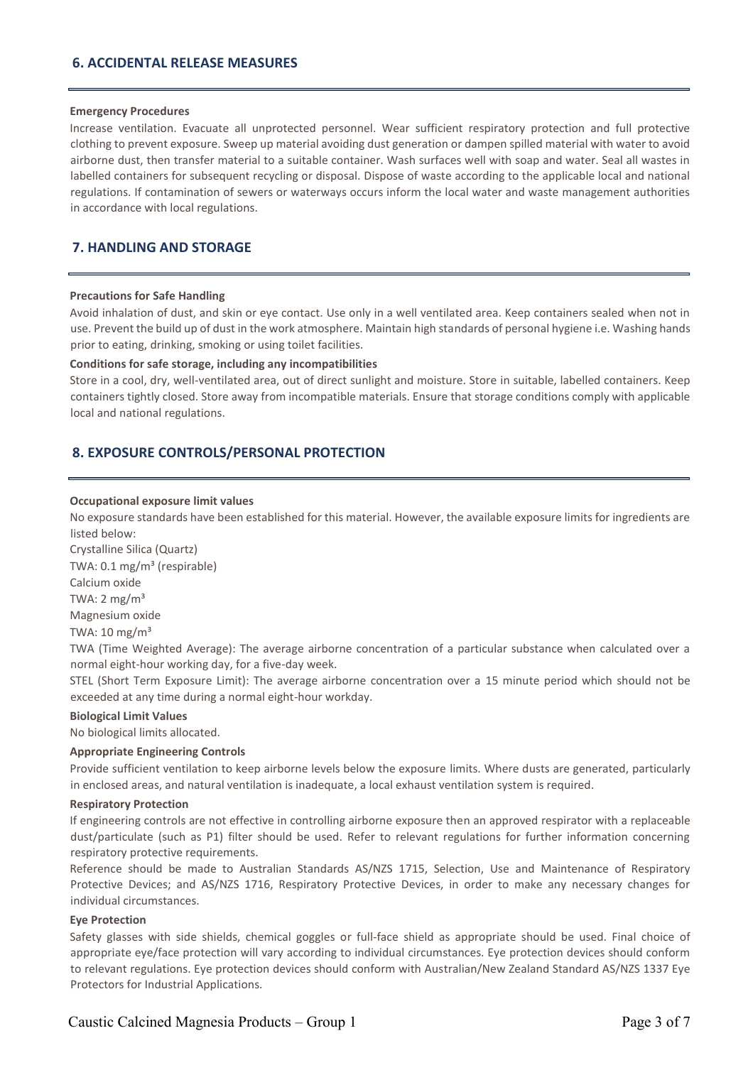## **6. ACCIDENTAL RELEASE MEASURES**

#### **Emergency Procedures**

Increase ventilation. Evacuate all unprotected personnel. Wear sufficient respiratory protection and full protective clothing to prevent exposure. Sweep up material avoiding dust generation or dampen spilled material with water to avoid airborne dust, then transfer material to a suitable container. Wash surfaces well with soap and water. Seal all wastes in labelled containers for subsequent recycling or disposal. Dispose of waste according to the applicable local and national regulations. If contamination of sewers or waterways occurs inform the local water and waste management authorities in accordance with local regulations.

## **7. HANDLING AND STORAGE**

#### **Precautions for Safe Handling**

Avoid inhalation of dust, and skin or eye contact. Use only in a well ventilated area. Keep containers sealed when not in use. Prevent the build up of dust in the work atmosphere. Maintain high standards of personal hygiene i.e. Washing hands prior to eating, drinking, smoking or using toilet facilities.

#### **Conditions for safe storage, including any incompatibilities**

Store in a cool, dry, well-ventilated area, out of direct sunlight and moisture. Store in suitable, labelled containers. Keep containers tightly closed. Store away from incompatible materials. Ensure that storage conditions comply with applicable local and national regulations.

#### **8. EXPOSURE CONTROLS/PERSONAL PROTECTION**

#### **Occupational exposure limit values**

No exposure standards have been established for this material. However, the available exposure limits for ingredients are listed below:

Crystalline Silica (Quartz) TWA: 0.1 mg/m<sup>3</sup> (respirable) Calcium oxide TWA:  $2 \text{ mg/m}^3$ Magnesium oxide TWA:  $10 \text{ mg/m}^3$ 

TWA (Time Weighted Average): The average airborne concentration of a particular substance when calculated over a normal eight-hour working day, for a five-day week.

STEL (Short Term Exposure Limit): The average airborne concentration over a 15 minute period which should not be exceeded at any time during a normal eight-hour workday.

#### **Biological Limit Values**

No biological limits allocated.

#### **Appropriate Engineering Controls**

Provide sufficient ventilation to keep airborne levels below the exposure limits. Where dusts are generated, particularly in enclosed areas, and natural ventilation is inadequate, a local exhaust ventilation system is required.

#### **Respiratory Protection**

If engineering controls are not effective in controlling airborne exposure then an approved respirator with a replaceable dust/particulate (such as P1) filter should be used. Refer to relevant regulations for further information concerning respiratory protective requirements.

Reference should be made to Australian Standards AS/NZS 1715, Selection, Use and Maintenance of Respiratory Protective Devices; and AS/NZS 1716, Respiratory Protective Devices, in order to make any necessary changes for individual circumstances.

#### **Eye Protection**

Safety glasses with side shields, chemical goggles or full-face shield as appropriate should be used. Final choice of appropriate eye/face protection will vary according to individual circumstances. Eye protection devices should conform to relevant regulations. Eye protection devices should conform with Australian/New Zealand Standard AS/NZS 1337 Eye Protectors for Industrial Applications.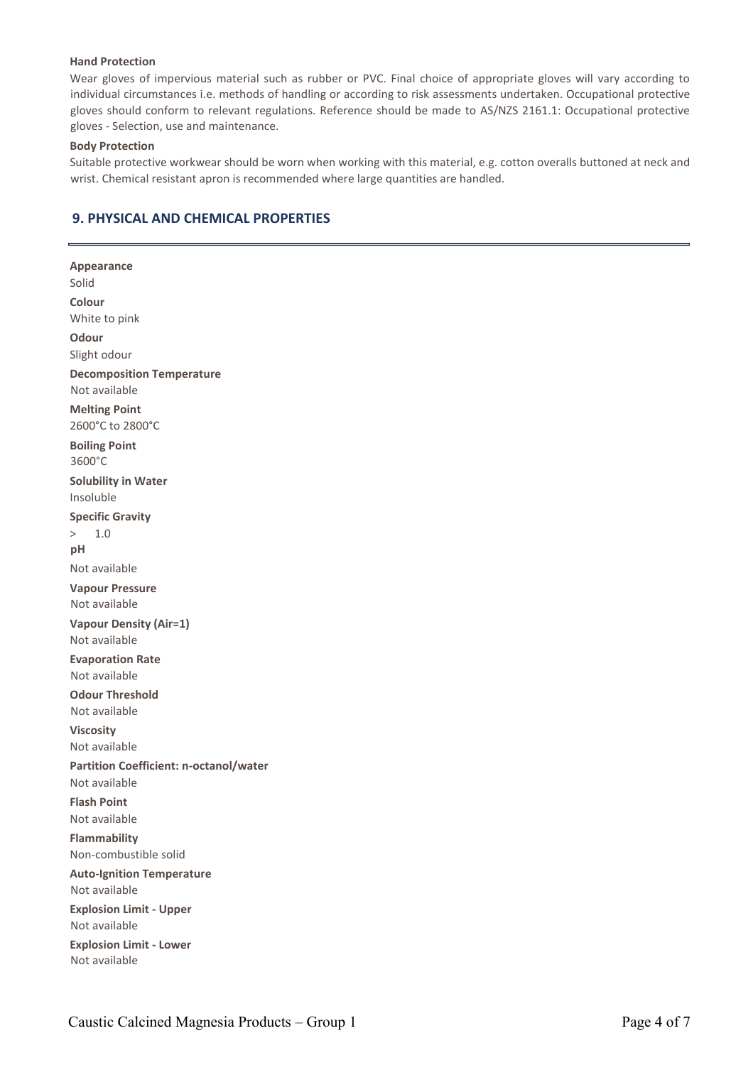#### **Hand Protection**

Wear gloves of impervious material such as rubber or PVC. Final choice of appropriate gloves will vary according to individual circumstances i.e. methods of handling or according to risk assessments undertaken. Occupational protective gloves should conform to relevant regulations. Reference should be made to AS/NZS 2161.1: Occupational protective gloves - Selection, use and maintenance.

#### **Body Protection**

Suitable protective workwear should be worn when working with this material, e.g. cotton overalls buttoned at neck and wrist. Chemical resistant apron is recommended where large quantities are handled.

## **9. PHYSICAL AND CHEMICAL PROPERTIES**

**Appearance** Solid **Colour** White to pink **Odour** Slight odour **Decomposition Temperature**  Not available **Melting Point** 2600°C to 2800°C **Boiling Point**  3600°C **Solubility in Water** Insoluble **Specific Gravity** > 1.0 **pH** Not available **Vapour Pressure**  Not available **Vapour Density (Air=1)** Not available **Evaporation Rate**  Not available **Odour Threshold**  Not available **Viscosity** Not available **Partition Coefficient: n-octanol/water** Not available **Flash Point** Not available **Flammability** Non-combustible solid **Auto-Ignition Temperature**  Not available **Explosion Limit - Upper**  Not available **Explosion Limit - Lower**  Not available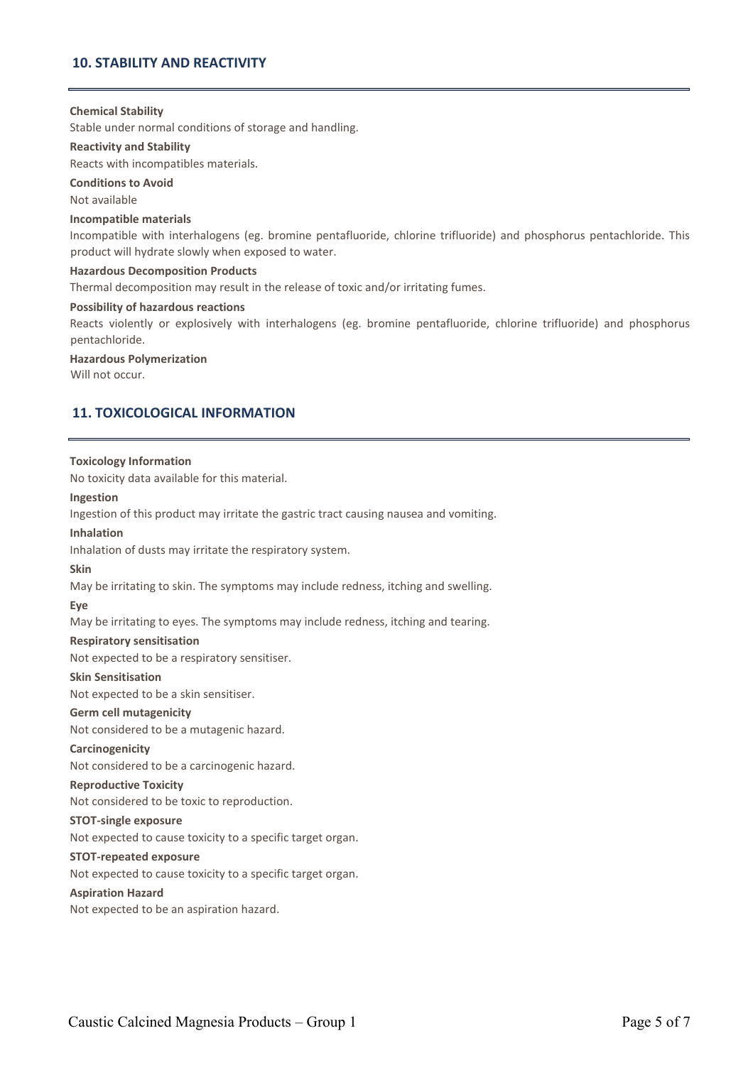## **10. STABILITY AND REACTIVITY**

#### **Chemical Stability**

Stable under normal conditions of storage and handling.

#### **Reactivity and Stability**

Reacts with incompatibles materials.

#### **Conditions to Avoid**

Not available

#### **Incompatible materials**

Incompatible with interhalogens (eg. bromine pentafluoride, chlorine trifluoride) and phosphorus pentachloride. This product will hydrate slowly when exposed to water.

#### **Hazardous Decomposition Products**

Thermal decomposition may result in the release of toxic and/or irritating fumes.

#### **Possibility of hazardous reactions**

Reacts violently or explosively with interhalogens (eg. bromine pentafluoride, chlorine trifluoride) and phosphorus pentachloride.

#### **Hazardous Polymerization**

Will not occur.

## **11. TOXICOLOGICAL INFORMATION**

#### **Toxicology Information**

No toxicity data available for this material.

#### **Ingestion**

Ingestion of this product may irritate the gastric tract causing nausea and vomiting.

#### **Inhalation**

Inhalation of dusts may irritate the respiratory system.

#### **Skin**

May be irritating to skin. The symptoms may include redness, itching and swelling.

#### **Eye**

May be irritating to eyes. The symptoms may include redness, itching and tearing.

#### **Respiratory sensitisation**

Not expected to be a respiratory sensitiser.

#### **Skin Sensitisation**

Not expected to be a skin sensitiser.

#### **Germ cell mutagenicity**

Not considered to be a mutagenic hazard.

#### **Carcinogenicity**

Not considered to be a carcinogenic hazard.

#### **Reproductive Toxicity**

Not considered to be toxic to reproduction.

#### **STOT-single exposure**

Not expected to cause toxicity to a specific target organ.

#### **STOT-repeated exposure**

Not expected to cause toxicity to a specific target organ.

#### **Aspiration Hazard**

Not expected to be an aspiration hazard.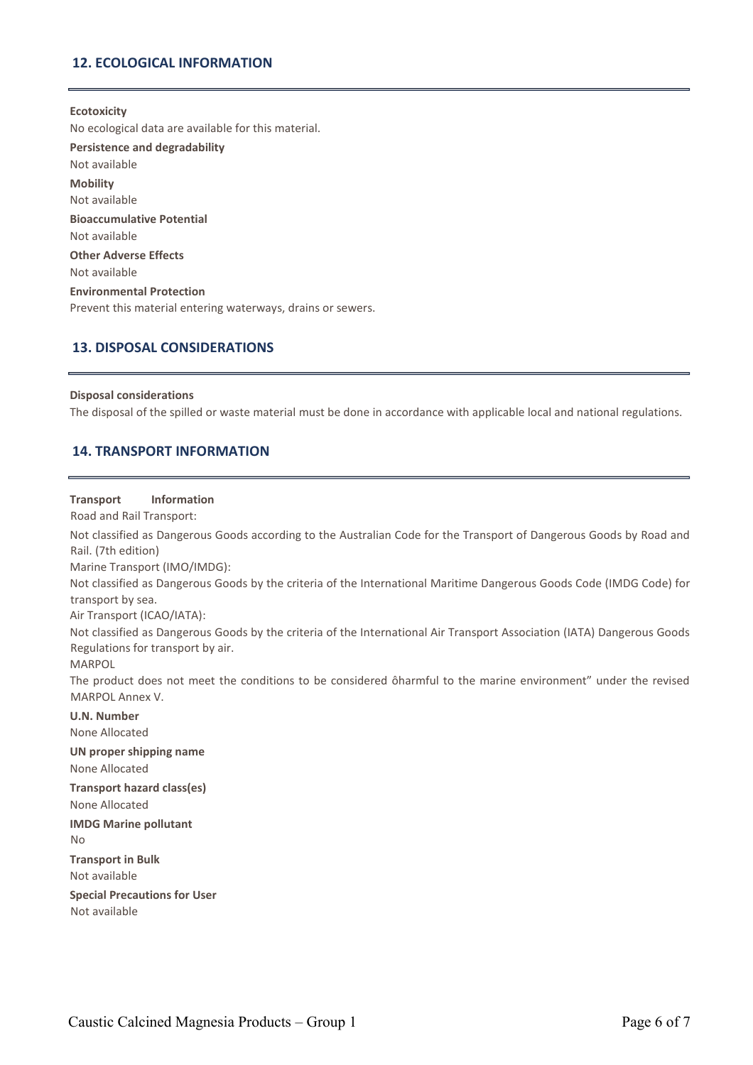## **12. ECOLOGICAL INFORMATION**

#### **Ecotoxicity**

No ecological data are available for this material. **Persistence and degradability** Not available **Mobility** Not available **Bioaccumulative Potential** Not available **Other Adverse Effects** Not available **Environmental Protection** Prevent this material entering waterways, drains or sewers.

#### **13. DISPOSAL CONSIDERATIONS**

#### **Disposal considerations**

The disposal of the spilled or waste material must be done in accordance with applicable local and national regulations.

#### **14. TRANSPORT INFORMATION**

#### **Transport Information**

Road and Rail Transport:

Not classified as Dangerous Goods according to the Australian Code for the Transport of Dangerous Goods by Road and Rail. (7th edition)

Marine Transport (IMO/IMDG):

Not classified as Dangerous Goods by the criteria of the International Maritime Dangerous Goods Code (IMDG Code) for transport by sea.

Air Transport (ICAO/IATA):

Not classified as Dangerous Goods by the criteria of the International Air Transport Association (IATA) Dangerous Goods Regulations for transport by air.

MARPOL

The product does not meet the conditions to be considered ôharmful to the marine environment" under the revised MARPOL Annex V.

#### **U.N. Number**

None Allocated

## **UN proper shipping name**

None Allocated

## **Transport hazard class(es)**

None Allocated

## **IMDG Marine pollutant**

No

#### **Transport in Bulk**

Not available

**Special Precautions for User** 

Not available